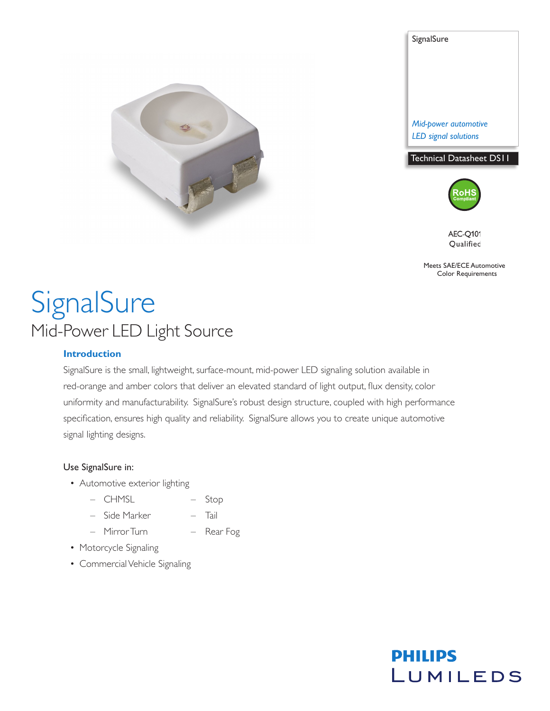

**SignalSure** *Mid-power automotive LED signal solutions* Technical Datasheet DS11





**AEC-Q101** Qualified

Meets SAE/ECE Automotive Color Requirements

**PHILIPS** 

LUMILEDS

# **SignalSure** Mid-Power LED Light Source

#### **Introduction**

SignalSure is the small, lightweight, surface-mount, mid-power LED signaling solution available in red-orange and amber colors that deliver an elevated standard of light output, flux density, color uniformity and manufacturability. SignalSure's robust design structure, coupled with high performance specification, ensures high quality and reliability. SignalSure allows you to create unique automotive signal lighting designs.

#### Use SignalSure in:

- Automotive exterior lighting
	- CHMSL Stop
	- Side Marker Tail
	- Mirror Turn Rear Fog
- Motorcycle Signaling
- Commercial Vehicle Signaling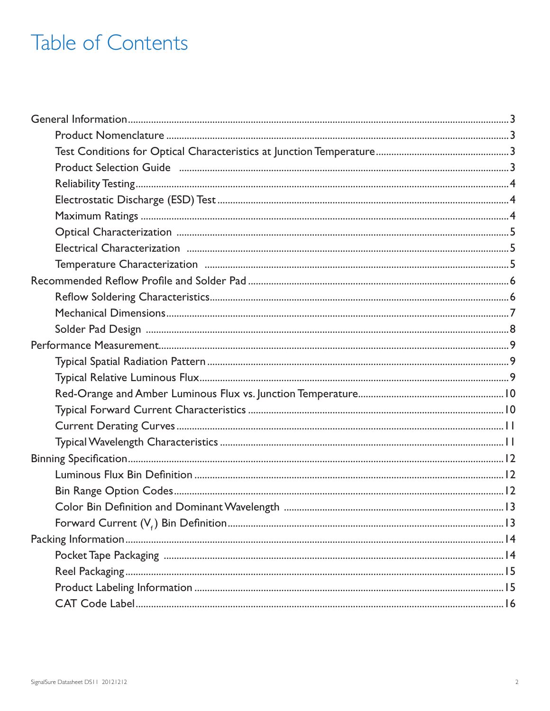# Table of Contents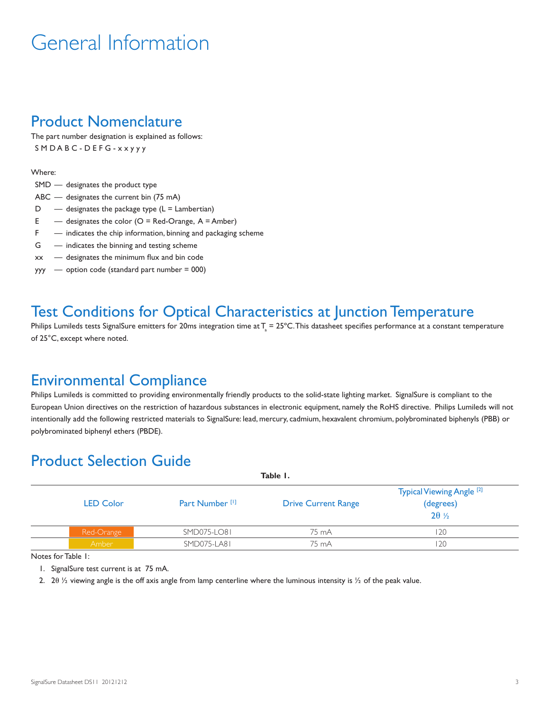# General Information

#### Product Nomenclature

The part number designation is explained as follows: SMDABC - DEFG - x x y y y

#### Where:

- SMD designates the product type
- ABC designates the current bin (75 mA)
- $D -$  designates the package type  $(L = L$ ambertian)
- $E$  designates the color (O = Red-Orange, A = Amber)
- F indicates the chip information, binning and packaging scheme
- G indicates the binning and testing scheme
- xx designates the minimum flux and bin code
- $yyy -$  option code (standard part number = 000)

### Test Conditions for Optical Characteristics at Junction Temperature

Philips Lumileds tests SignalSure emitters for 20ms integration time at  $T_{\rm a}$  = 25°C. This datasheet specifies performance at a constant temperature of 25°C, except where noted.

#### Environmental Compliance

Philips Lumileds is committed to providing environmentally friendly products to the solid-state lighting market. SignalSure is compliant to the European Union directives on the restriction of hazardous substances in electronic equipment, namely the RoHS directive. Philips Lumileds will not intentionally add the following restricted materials to SignalSure: lead, mercury, cadmium, hexavalent chromium, polybrominated biphenyls (PBB) or polybrominated biphenyl ethers (PBDE).

### Product Selection Guide

| Table I.         |                            |                            |                                                                  |  |  |
|------------------|----------------------------|----------------------------|------------------------------------------------------------------|--|--|
| <b>LED Color</b> | Part Number <sup>[1]</sup> | <b>Drive Current Range</b> | Typical Viewing Angle <sup>[2]</sup><br>(degrees)<br>$2\theta$ % |  |  |
| Red-Orange       | SMD075-LO81                | 75 mA                      | 20                                                               |  |  |
| Amber            | SMD075-LA81                | 75 mA                      | 20                                                               |  |  |

Notes for Table 1:

1. SignalSure test current is at 75 mA.

2. 20  $\frac{1}{2}$  viewing angle is the off axis angle from lamp centerline where the luminous intensity is  $\frac{1}{2}$  of the peak value.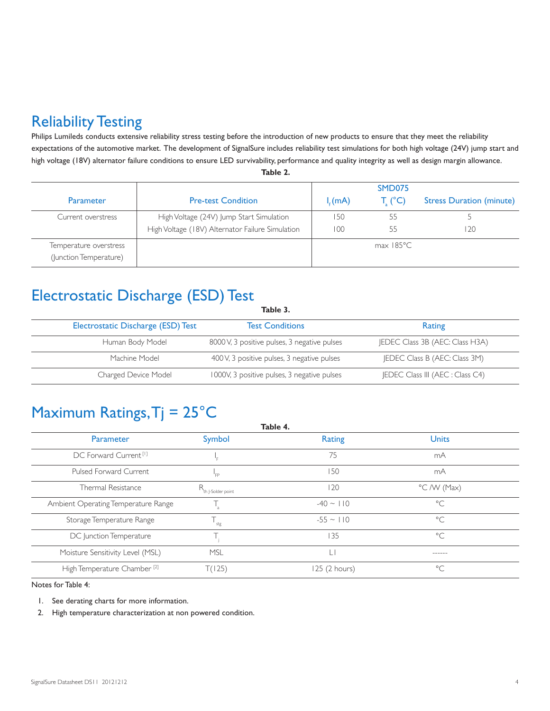### Reliability Testing

Philips Lumileds conducts extensive reliability stress testing before the introduction of new products to ensure that they meet the reliability expectations of the automotive market. The development of SignalSure includes reliability test simulations for both high voltage (24V) jump start and high voltage (18V) alternator failure conditions to ensure LED survivability, performance and quality integrity as well as design margin allowance. **Table 2.**

|                        |                                                  |             | SMD075         |                                 |
|------------------------|--------------------------------------------------|-------------|----------------|---------------------------------|
| <b>Parameter</b>       | <b>Pre-test Condition</b>                        | $I_{c}(mA)$ | $T_c$ (°C)     | <b>Stress Duration (minute)</b> |
| Current overstress     | High Voltage (24V) Jump Start Simulation         | 150         | 55             |                                 |
|                        | High Voltage (18V) Alternator Failure Simulation | 100         | 55             | 20                              |
| Temperature overstress |                                                  |             | $max$ 185 $°C$ |                                 |
| (Junction Temperature) |                                                  |             |                |                                 |

### Electrostatic Discharge (ESD) Test

| Electrostatic Discharge (ESD) Test | <b>Test Conditions</b>                       | Rating                                  |
|------------------------------------|----------------------------------------------|-----------------------------------------|
| Human Body Model                   | 8000 V, 3 positive pulses, 3 negative pulses | <b>IEDEC Class 3B (AEC: Class H3A)</b>  |
| Machine Model                      | 400 V, 3 positive pulses, 3 negative pulses  | <b>IEDEC Class B (AEC: Class 3M)</b>    |
| Charged Device Model               | 1000V, 3 positive pulses, 3 negative pulses  | <b>IEDEC Class III (AEC : Class C4)</b> |

**Table 3.**

## Maximum Ratings,  $Tj = 25^{\circ}C$

| Table 4.                                |                                |                |                      |  |
|-----------------------------------------|--------------------------------|----------------|----------------------|--|
| Parameter                               | Symbol                         | <b>Rating</b>  | <b>Units</b>         |  |
| DC Forward Current <sup>[1]</sup>       | ء'                             | 75             | mA                   |  |
| Pulsed Forward Current                  | 'FP                            | 150            | mA                   |  |
| Thermal Resistance                      | R <sub>th J-Solder point</sub> | 120            | $\degree$ C /W (Max) |  |
| Ambient Operating Temperature Range     |                                | $-40 \sim 110$ | $^{\circ}$ C         |  |
| Storage Temperature Range               | $T_{\text{stg}}$               | $-55 \sim 110$ | $\circ$ C            |  |
| DC Junction Temperature                 |                                | 135            | $\circ$ C            |  |
| Moisture Sensitivity Level (MSL)        | MSL                            |                | ------               |  |
| High Temperature Chamber <sup>[2]</sup> | T(125)                         | 125 (2 hours)  | $\circ$              |  |

#### Notes for Table 4:

1. See derating charts for more information.

2. High temperature characterization at non powered condition.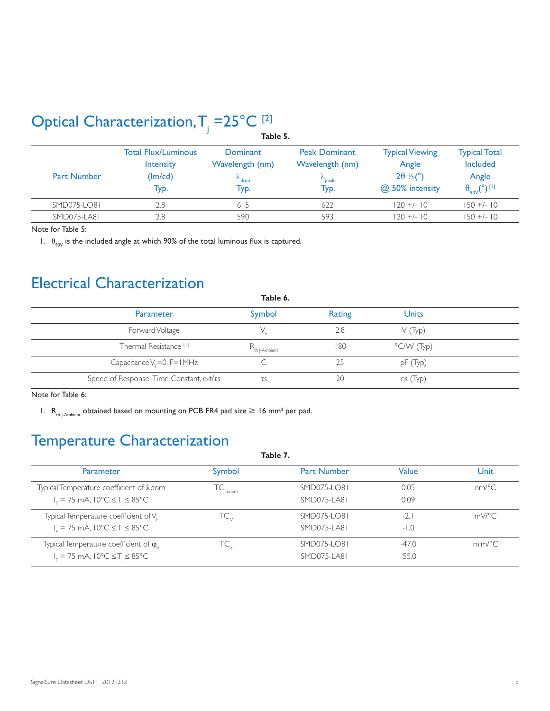## Optical Characterization,  $T_i = 25^{\circ}C_{i}$

|                    | Table 5.                                            |                                                                 |                                                                |                                                                                 |                                                                                 |  |
|--------------------|-----------------------------------------------------|-----------------------------------------------------------------|----------------------------------------------------------------|---------------------------------------------------------------------------------|---------------------------------------------------------------------------------|--|
| <b>Part Number</b> | Total Flux/Luminous<br>Intensity<br>(lm/cd)<br>Typ. | Dominant<br>Wavelength (nm)<br>$\lambda$ <sub>dom</sub><br>Тур. | <b>Peak Dominant</b><br>Wavelength (nm)<br>$\sim$ peak<br>Typ. | <b>Typical Viewing</b><br>Angle<br>$2\theta \frac{1}{2}$ (°)<br>@ 50% intensity | <b>Typical Total</b><br>Included<br>Angle<br>$\theta_{.90V}$ (°) <sup>[1]</sup> |  |
| SMD075-LO81        | 2.8                                                 | 615                                                             | 622                                                            | $120 + 1 - 10$                                                                  | $150 +/- 10$                                                                    |  |
| SMD075-LA81        | 2.8                                                 | 590                                                             | 593                                                            | $120 + 10$                                                                      | $150 + (-10)$                                                                   |  |

Note for Table 5:

1.  $\theta_{90V}$  is the included angle at which 90% of the total luminous flux is captured.

### Electrical Characterization

| Table 6.                                |              |        |              |  |
|-----------------------------------------|--------------|--------|--------------|--|
| Parameter                               | Symbol       | Rating | <b>Units</b> |  |
| Forward Voltage                         |              | 2.8    | V(Typ)       |  |
| Thermal Resistance <sup>[1]</sup>       | th  -Ambient | 180    | °C/W (Typ)   |  |
| Capacitance $V_F = 0$ , F= IMHz         |              | 25     | pF(Typ)      |  |
| Speed of Response Time Constant, e-t/ts | $\tau$ s     | 20     | ns(Typ)      |  |

Note for Table 6:

1.  $R_{th\_\text{1-Ambient}}$  obtained based on mounting on PCB FR4 pad size  $\geq 16$  mm<sup>2</sup> per pad.

### Temperature Characterization

| Table 7.                                                                |                   |                    |         |        |
|-------------------------------------------------------------------------|-------------------|--------------------|---------|--------|
| <b>Parameter</b>                                                        | Symbol            | <b>Part Number</b> | Value   | Unit   |
| Typical Temperature coefficient of $\lambda$ dom                        | $IC_{\lambda$ dom | SMD075-LO81        | 0.05    | nm/°C  |
| $I_{\rm r}$ = 75 mA, 10°C $\leq$ T <sub>i</sub> $\leq$ 85°C             |                   | SMD075-LA81        | 0.09    |        |
| Typical Temperature coefficient of V <sub>F</sub>                       | TC <sub>v</sub>   | SMD075-LO81        | $-2.1$  | mV/°C  |
| $I_c = 75$ mA, $10^{\circ}$ C $\leq$ T <sub>i</sub> $\leq 85^{\circ}$ C |                   | SMD075-LA81        | $-1.0$  |        |
| Typical Temperature coefficient of $\varphi_{\vee}$                     | ТC                | SMD075-LO81        | $-47.0$ | mlm/°C |
| $I_c = 75$ mA, $10^{\circ}C \leq T_i \leq 85^{\circ}C$                  |                   | <b>SMD075-LA81</b> | $-55.0$ |        |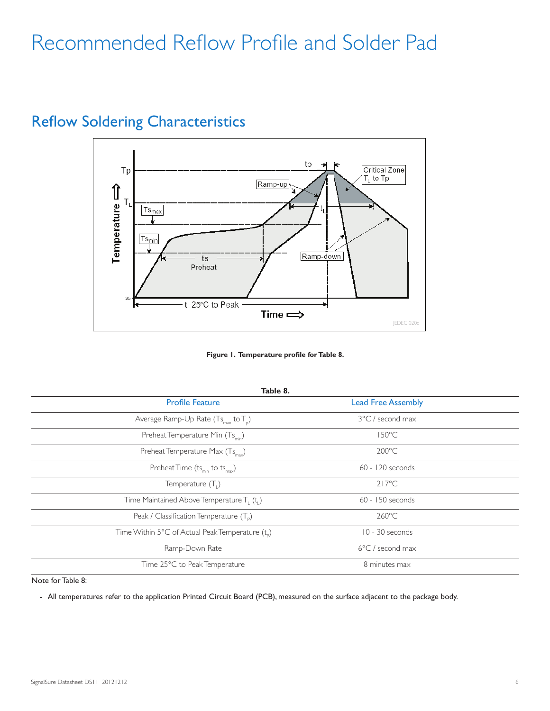# Recommended Reflow Profile and Solder Pad



### Reflow Soldering Characteristics

**Figure 1. Temperature profile for Table 8.**

| Table 8.                                                           |                            |  |  |  |
|--------------------------------------------------------------------|----------------------------|--|--|--|
| <b>Profile Feature</b>                                             | <b>Lead Free Assembly</b>  |  |  |  |
| Average Ramp-Up Rate $(Ts_{max}$ to $T_p$ )                        | 3°C / second max           |  |  |  |
| Preheat Temperature Min (Ts <sub>min</sub> )                       | $150^{\circ}$ C            |  |  |  |
| Preheat Temperature Max (Ts <sub>max</sub> )                       | $200^{\circ}$ C            |  |  |  |
| Preheat Time $(ts_{min}$ to $ts_{max}$ )                           | $60 - 120$ seconds         |  |  |  |
| Temperature $(T_1)$                                                | $217^{\circ}$ C            |  |  |  |
| Time Maintained Above Temperature T <sub>1</sub> (t <sub>1</sub> ) | 60 - 150 seconds           |  |  |  |
| Peak / Classification Temperature $(T_{\rm p})$                    | $260^{\circ}$ C            |  |  |  |
| Time Within 5°C of Actual Peak Temperature (t <sub>o</sub> )       | 10 - 30 seconds            |  |  |  |
| Ramp-Down Rate                                                     | $6^{\circ}$ C / second max |  |  |  |
| Time 25°C to Peak Temperature                                      | 8 minutes max              |  |  |  |

Note for Table 8:

- All temperatures refer to the application Printed Circuit Board (PCB), measured on the surface adjacent to the package body.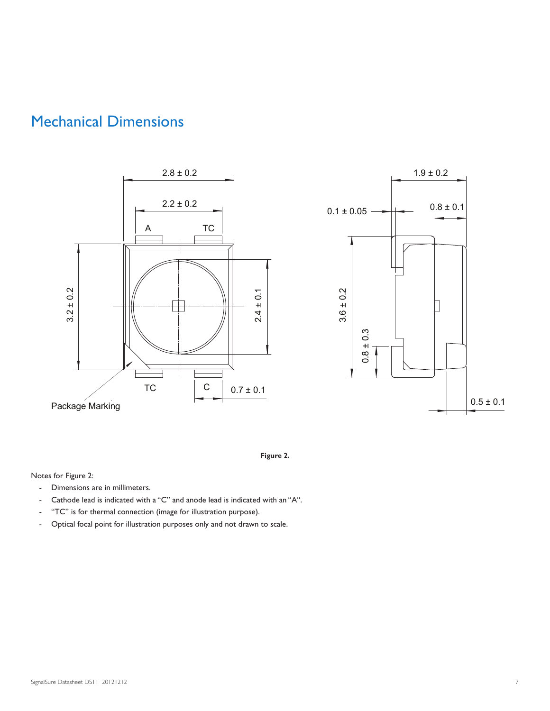### Mechanical Dimensions







Notes for Figure 2:

- Dimensions are in millimeters.
- Cathode lead is indicated with a "C" and anode lead is indicated with an "A".
- "TC" is for thermal connection (image for illustration purpose).
- Optical focal point for illustration purposes only and not drawn to scale.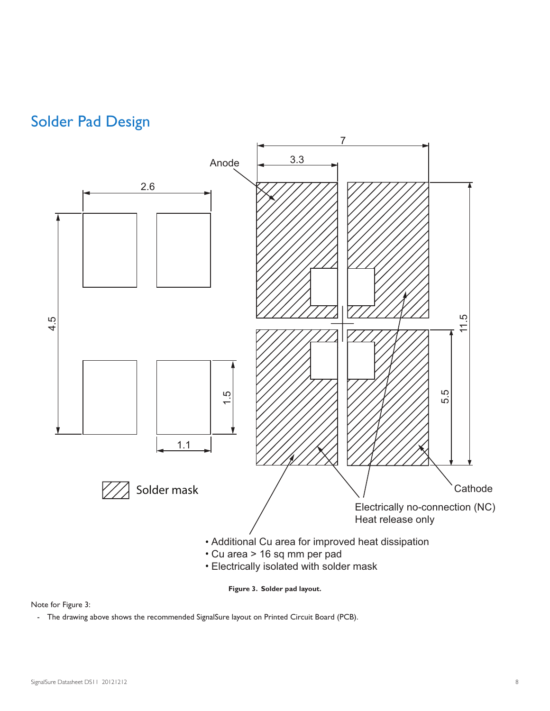



**Figure 3. Solder pad layout.**

#### Note for Figure 3:

- The drawing above shows the recommended SignalSure layout on Printed Circuit Board (PCB).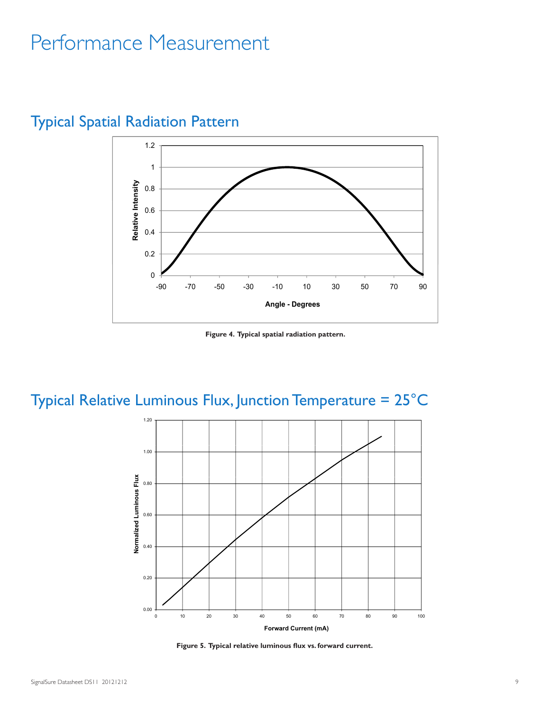# Performance Measurement



### Typical Spatial Radiation Pattern

**Figure 4. Typical spatial radiation pattern.**

## Typical Relative Luminous Flux, Junction Temperature = 25°C



**Figure 5. Typical relative luminous flux vs. forward current.**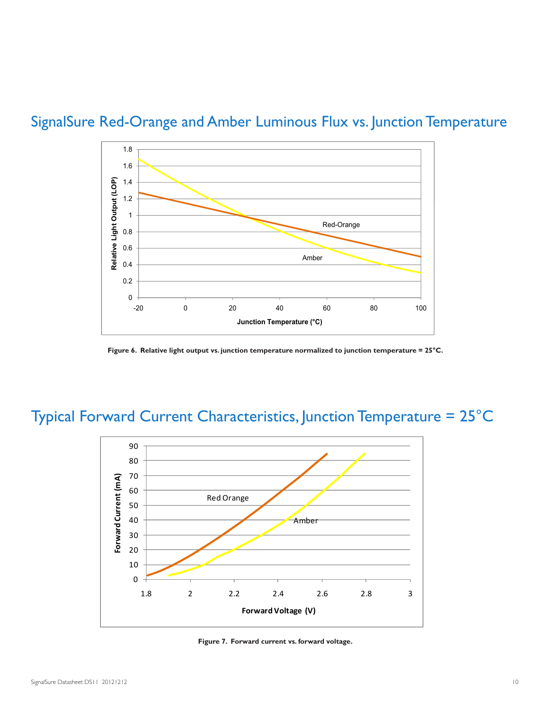



**Figure 6. Relative light output vs. junction temperature normalized to junction temperature = 25°C.**

## Typical Forward Current Characteristics, Junction Temperature = 25°C



**Figure 7. Forward current vs. forward voltage.**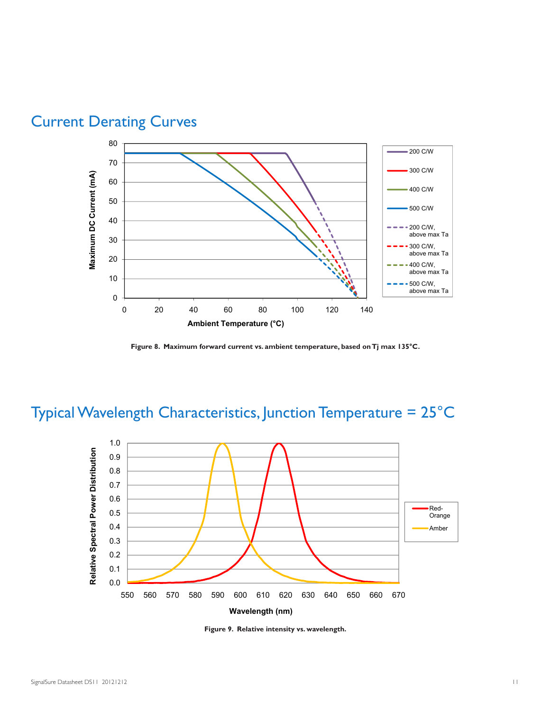

### Current Derating Curves

**Figure 8. Maximum forward current vs. ambient temperature, based on Tj max 135°C.**

## Typical Wavelength Characteristics, Junction Temperature = 25°C



**Figure 9. Relative intensity vs. wavelength.**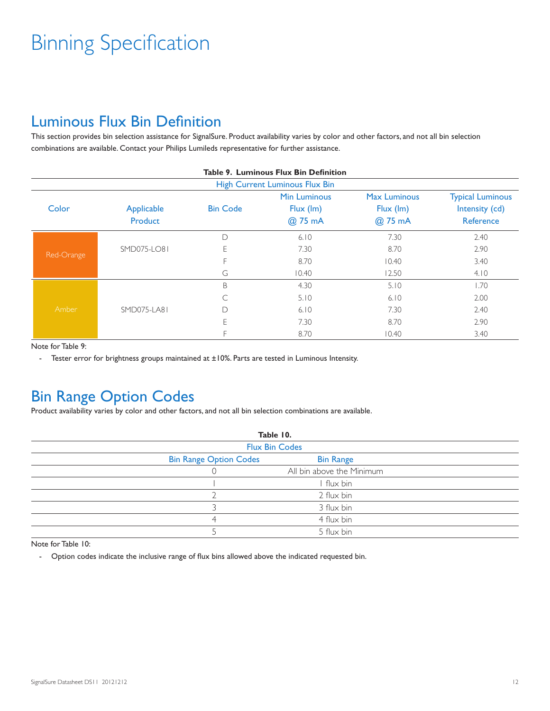# Binning Specification

### Luminous Flux Bin Definition

This section provides bin selection assistance for SignalSure. Product availability varies by color and other factors, and not all bin selection combinations are available. Contact your Philips Lumileds representative for further assistance.

|            | <b>Table 9. Luminous Flux Bin Definition</b> |                 |                                |                     |                         |  |
|------------|----------------------------------------------|-----------------|--------------------------------|---------------------|-------------------------|--|
|            |                                              |                 | High Current Luminous Flux Bin |                     |                         |  |
|            |                                              |                 | <b>Min Luminous</b>            | <b>Max Luminous</b> | <b>Typical Luminous</b> |  |
| Color      | Applicable                                   | <b>Bin Code</b> | $Flux$ (Im)                    | $Flux$ (Im)         | Intensity (cd)          |  |
|            | Product                                      |                 | @ 75 mA                        | @ 75 mA             | Reference               |  |
|            |                                              | D               | 6.10                           | 7.30                | 2.40                    |  |
| Red-Orange | SMD075-LO81                                  | E               | 7.30                           | 8.70                | 2.90                    |  |
|            |                                              |                 | 8.70                           | 10.40               | 3.40                    |  |
|            |                                              | G               | 10.40                          | 12.50               | 4.10                    |  |
|            |                                              | B               | 4.30                           | 5.10                | 1.70                    |  |
|            |                                              |                 | 5.10                           | 6.10                | 2.00                    |  |
| Amber      | SMD075-LA81                                  | D               | 6.10                           | 7.30                | 2.40                    |  |
|            |                                              | E               | 7.30                           | 8.70                | 2.90                    |  |
|            |                                              |                 | 8.70                           | 10.40               | 3.40                    |  |

Note for Table 9:

- Tester error for brightness groups maintained at ±10%. Parts are tested in Luminous Intensity.

### Bin Range Option Codes

Product availability varies by color and other factors, and not all bin selection combinations are available.

|                               | Table 10.                 |  |
|-------------------------------|---------------------------|--|
|                               | <b>Flux Bin Codes</b>     |  |
| <b>Bin Range Option Codes</b> | <b>Bin Range</b>          |  |
|                               | All bin above the Minimum |  |
|                               | I flux bin                |  |
|                               | 2 flux bin                |  |
|                               | 3 flux bin                |  |
|                               | 4 flux bin                |  |
|                               | 5 flux bin                |  |

Note for Table 10:

- Option codes indicate the inclusive range of flux bins allowed above the indicated requested bin.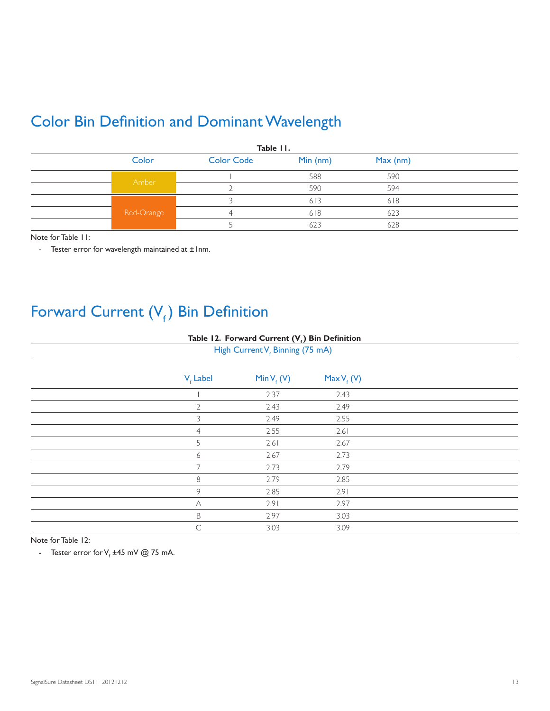### Color Bin Definition and Dominant Wavelength

| Table II. |            |                   |           |            |  |
|-----------|------------|-------------------|-----------|------------|--|
|           | Color      | <b>Color Code</b> | Min $(m)$ | $Max$ (nm) |  |
|           |            |                   | 588       | 590        |  |
|           | Amber      |                   | 590       | 594        |  |
|           |            |                   | 613       | 618        |  |
|           | Red-Orange | Δ                 | 618       | 623        |  |
|           |            |                   | 623       | 628        |  |

Note for Table 11:

- Tester error for wavelength maintained at ±1nm.

## Forward Current  $(V_f)$  Bin Definition

#### Table 12. Forward Current (V<sub>e</sub>) Bin Definition

| High Current V <sub>e</sub> Binning (75 mA) |                      |                        |               |  |
|---------------------------------------------|----------------------|------------------------|---------------|--|
|                                             | V <sub>e</sub> Label | Min V <sub>f</sub> (V) | $MaxV_{f}(V)$ |  |
|                                             |                      | 2.37                   | 2.43          |  |
|                                             | $\overline{2}$       | 2.43                   | 2.49          |  |
|                                             | 3                    | 2.49                   | 2.55          |  |
|                                             | $\overline{4}$       | 2.55                   | 2.61          |  |
|                                             | 5                    | 2.61                   | 2.67          |  |
|                                             | 6                    | 2.67                   | 2.73          |  |
|                                             | $\overline{7}$       | 2.73                   | 2.79          |  |
|                                             | 8                    | 2.79                   | 2.85          |  |
|                                             | 9                    | 2.85                   | 2.91          |  |
|                                             | A                    | 2.91                   | 2.97          |  |
|                                             | $\mathsf B$          | 2.97                   | 3.03          |  |
|                                             | $\subset$            | 3.03                   | 3.09          |  |

Note for Table 12:

- Tester error for V<sub>f</sub>  $\pm 45$  mV @ 75 mA.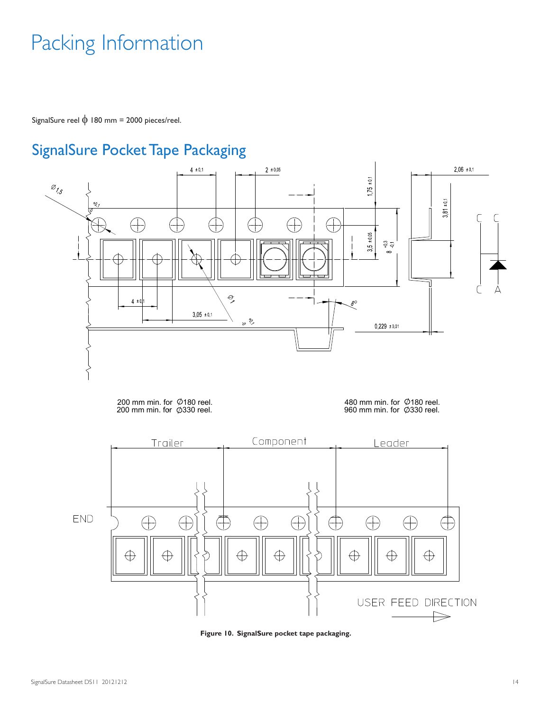# Packing Information

SignalSure reel  $\phi$  180 mm = 2000 pieces/reel.

### SignalSure Pocket Tape Packaging



200 mm min. for  $\oslash$  180 reel.<br>200 mm min. for  $\oslash$  330 reel. 480 mm min. for  $\oslash$  180 reel.

960 mm min. for  $\oslash$  330 reel.



**Figure 10. SignalSure pocket tape packaging.**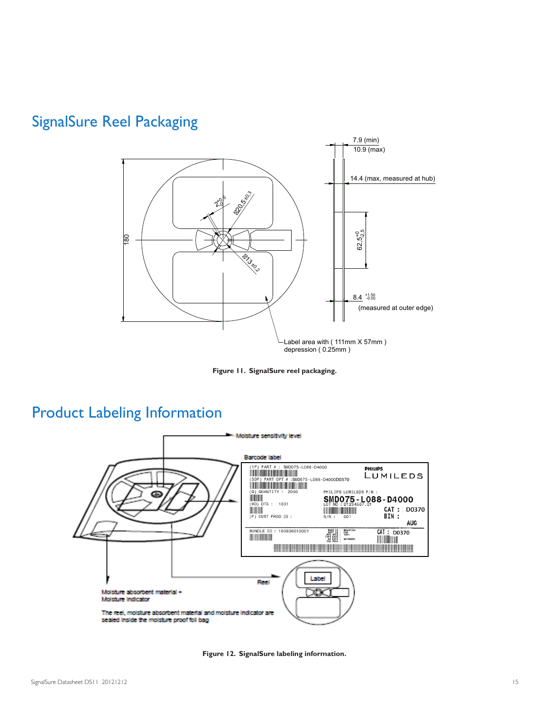### SignalSure Reel Packaging



**Figure 11. SignalSure reel packaging.**

#### Product Labeling Information



**Figure 12. SignalSure labeling information.**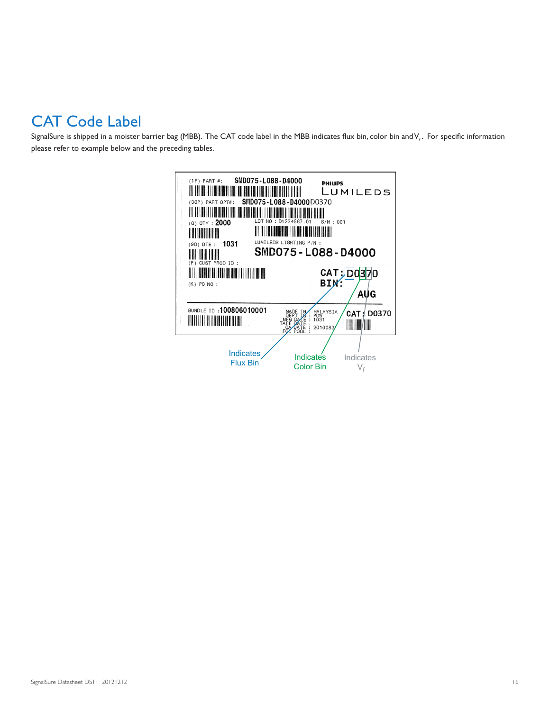### CAT Code Label

SignalSure is shipped in a moister barrier bag (MBB). The CAT code label in the MBB indicates flux bin, color bin and V<sub>i</sub>. For specific information please refer to example below and the preceding tables.